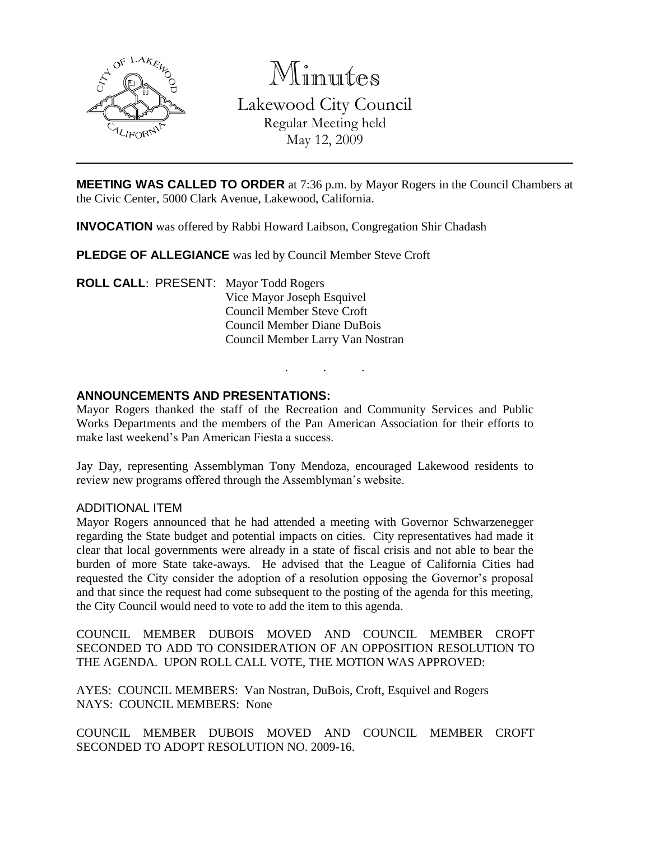

Minutes Lakewood City Council

> Regular Meeting held May 12, 2009

**MEETING WAS CALLED TO ORDER** at 7:36 p.m. by Mayor Rogers in the Council Chambers at the Civic Center, 5000 Clark Avenue, Lakewood, California.

**INVOCATION** was offered by Rabbi Howard Laibson, Congregation Shir Chadash

**PLEDGE OF ALLEGIANCE** was led by Council Member Steve Croft

**ROLL CALL**: PRESENT: Mayor Todd Rogers Vice Mayor Joseph Esquivel Council Member Steve Croft Council Member Diane DuBois Council Member Larry Van Nostran

### **ANNOUNCEMENTS AND PRESENTATIONS:**

Mayor Rogers thanked the staff of the Recreation and Community Services and Public Works Departments and the members of the Pan American Association for their efforts to make last weekend's Pan American Fiesta a success.

. . .

Jay Day, representing Assemblyman Tony Mendoza, encouraged Lakewood residents to review new programs offered through the Assemblyman's website.

### ADDITIONAL ITEM

Mayor Rogers announced that he had attended a meeting with Governor Schwarzenegger regarding the State budget and potential impacts on cities. City representatives had made it clear that local governments were already in a state of fiscal crisis and not able to bear the burden of more State take-aways. He advised that the League of California Cities had requested the City consider the adoption of a resolution opposing the Governor's proposal and that since the request had come subsequent to the posting of the agenda for this meeting, the City Council would need to vote to add the item to this agenda.

COUNCIL MEMBER DUBOIS MOVED AND COUNCIL MEMBER CROFT SECONDED TO ADD TO CONSIDERATION OF AN OPPOSITION RESOLUTION TO THE AGENDA. UPON ROLL CALL VOTE, THE MOTION WAS APPROVED:

AYES: COUNCIL MEMBERS: Van Nostran, DuBois, Croft, Esquivel and Rogers NAYS: COUNCIL MEMBERS: None

COUNCIL MEMBER DUBOIS MOVED AND COUNCIL MEMBER CROFT SECONDED TO ADOPT RESOLUTION NO. 2009-16.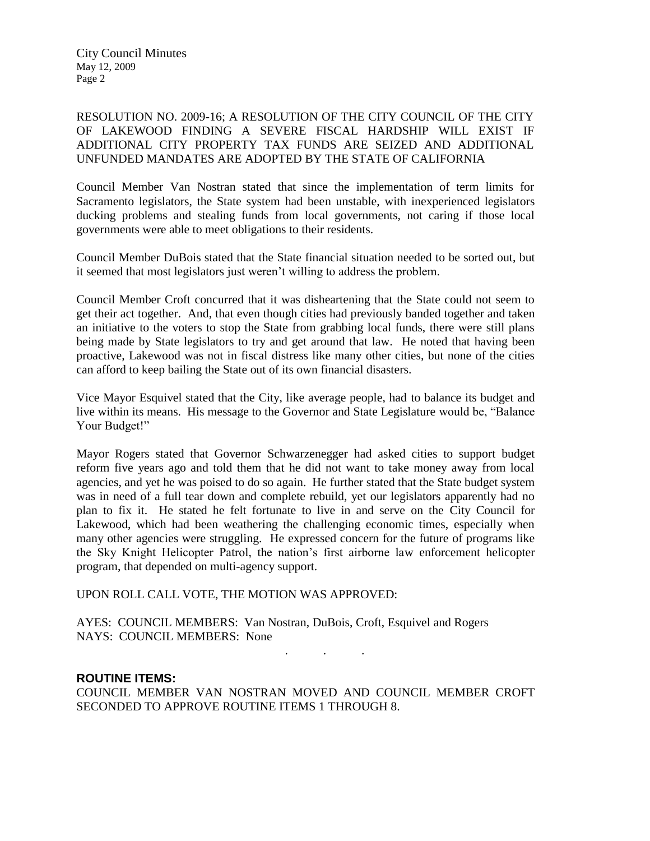City Council Minutes May 12, 2009 Page 2

RESOLUTION NO. 2009-16; A RESOLUTION OF THE CITY COUNCIL OF THE CITY OF LAKEWOOD FINDING A SEVERE FISCAL HARDSHIP WILL EXIST IF ADDITIONAL CITY PROPERTY TAX FUNDS ARE SEIZED AND ADDITIONAL UNFUNDED MANDATES ARE ADOPTED BY THE STATE OF CALIFORNIA

Council Member Van Nostran stated that since the implementation of term limits for Sacramento legislators, the State system had been unstable, with inexperienced legislators ducking problems and stealing funds from local governments, not caring if those local governments were able to meet obligations to their residents.

Council Member DuBois stated that the State financial situation needed to be sorted out, but it seemed that most legislators just weren't willing to address the problem.

Council Member Croft concurred that it was disheartening that the State could not seem to get their act together. And, that even though cities had previously banded together and taken an initiative to the voters to stop the State from grabbing local funds, there were still plans being made by State legislators to try and get around that law. He noted that having been proactive, Lakewood was not in fiscal distress like many other cities, but none of the cities can afford to keep bailing the State out of its own financial disasters.

Vice Mayor Esquivel stated that the City, like average people, had to balance its budget and live within its means. His message to the Governor and State Legislature would be, "Balance Your Budget!"

Mayor Rogers stated that Governor Schwarzenegger had asked cities to support budget reform five years ago and told them that he did not want to take money away from local agencies, and yet he was poised to do so again. He further stated that the State budget system was in need of a full tear down and complete rebuild, yet our legislators apparently had no plan to fix it. He stated he felt fortunate to live in and serve on the City Council for Lakewood, which had been weathering the challenging economic times, especially when many other agencies were struggling. He expressed concern for the future of programs like the Sky Knight Helicopter Patrol, the nation's first airborne law enforcement helicopter program, that depended on multi-agency support.

UPON ROLL CALL VOTE, THE MOTION WAS APPROVED:

AYES: COUNCIL MEMBERS: Van Nostran, DuBois, Croft, Esquivel and Rogers NAYS: COUNCIL MEMBERS: None

### **ROUTINE ITEMS:**

COUNCIL MEMBER VAN NOSTRAN MOVED AND COUNCIL MEMBER CROFT SECONDED TO APPROVE ROUTINE ITEMS 1 THROUGH 8.

. . .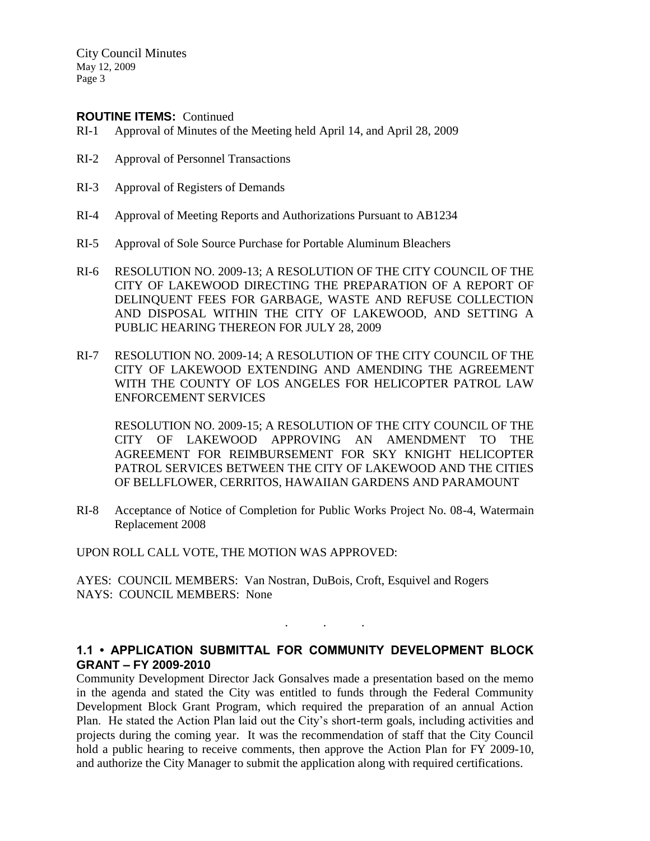City Council Minutes May 12, 2009 Page 3

### **ROUTINE ITEMS:** Continued

- RI-1 Approval of Minutes of the Meeting held April 14, and April 28, 2009
- RI-2 Approval of Personnel Transactions
- RI-3 Approval of Registers of Demands
- RI-4 Approval of Meeting Reports and Authorizations Pursuant to AB1234
- RI-5 Approval of Sole Source Purchase for Portable Aluminum Bleachers
- RI-6 RESOLUTION NO. 2009-13; A RESOLUTION OF THE CITY COUNCIL OF THE CITY OF LAKEWOOD DIRECTING THE PREPARATION OF A REPORT OF DELINQUENT FEES FOR GARBAGE, WASTE AND REFUSE COLLECTION AND DISPOSAL WITHIN THE CITY OF LAKEWOOD, AND SETTING A PUBLIC HEARING THEREON FOR JULY 28, 2009
- RI-7 RESOLUTION NO. 2009-14; A RESOLUTION OF THE CITY COUNCIL OF THE CITY OF LAKEWOOD EXTENDING AND AMENDING THE AGREEMENT WITH THE COUNTY OF LOS ANGELES FOR HELICOPTER PATROL LAW ENFORCEMENT SERVICES

RESOLUTION NO. 2009-15; A RESOLUTION OF THE CITY COUNCIL OF THE CITY OF LAKEWOOD APPROVING AN AMENDMENT TO THE AGREEMENT FOR REIMBURSEMENT FOR SKY KNIGHT HELICOPTER PATROL SERVICES BETWEEN THE CITY OF LAKEWOOD AND THE CITIES OF BELLFLOWER, CERRITOS, HAWAIIAN GARDENS AND PARAMOUNT

RI-8 Acceptance of Notice of Completion for Public Works Project No. 08-4, Watermain Replacement 2008

UPON ROLL CALL VOTE, THE MOTION WAS APPROVED:

AYES: COUNCIL MEMBERS: Van Nostran, DuBois, Croft, Esquivel and Rogers NAYS: COUNCIL MEMBERS: None

# **1.1 • APPLICATION SUBMITTAL FOR COMMUNITY DEVELOPMENT BLOCK GRANT – FY 2009-2010**

. . .

Community Development Director Jack Gonsalves made a presentation based on the memo in the agenda and stated the City was entitled to funds through the Federal Community Development Block Grant Program, which required the preparation of an annual Action Plan. He stated the Action Plan laid out the City's short-term goals, including activities and projects during the coming year. It was the recommendation of staff that the City Council hold a public hearing to receive comments, then approve the Action Plan for FY 2009-10, and authorize the City Manager to submit the application along with required certifications.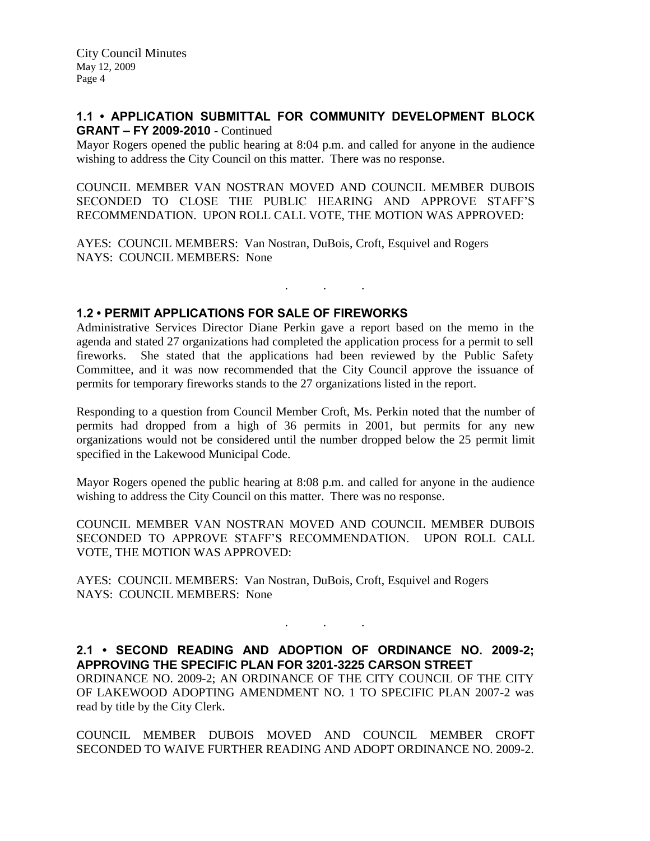### **1.1 • APPLICATION SUBMITTAL FOR COMMUNITY DEVELOPMENT BLOCK GRANT – FY 2009-2010** - Continued

Mayor Rogers opened the public hearing at 8:04 p.m. and called for anyone in the audience wishing to address the City Council on this matter. There was no response.

COUNCIL MEMBER VAN NOSTRAN MOVED AND COUNCIL MEMBER DUBOIS SECONDED TO CLOSE THE PUBLIC HEARING AND APPROVE STAFF'S RECOMMENDATION. UPON ROLL CALL VOTE, THE MOTION WAS APPROVED:

AYES: COUNCIL MEMBERS: Van Nostran, DuBois, Croft, Esquivel and Rogers NAYS: COUNCIL MEMBERS: None

# **1.2 • PERMIT APPLICATIONS FOR SALE OF FIREWORKS**

Administrative Services Director Diane Perkin gave a report based on the memo in the agenda and stated 27 organizations had completed the application process for a permit to sell fireworks. She stated that the applications had been reviewed by the Public Safety Committee, and it was now recommended that the City Council approve the issuance of permits for temporary fireworks stands to the 27 organizations listed in the report.

. . .

Responding to a question from Council Member Croft, Ms. Perkin noted that the number of permits had dropped from a high of 36 permits in 2001, but permits for any new organizations would not be considered until the number dropped below the 25 permit limit specified in the Lakewood Municipal Code.

Mayor Rogers opened the public hearing at 8:08 p.m. and called for anyone in the audience wishing to address the City Council on this matter. There was no response.

COUNCIL MEMBER VAN NOSTRAN MOVED AND COUNCIL MEMBER DUBOIS SECONDED TO APPROVE STAFF'S RECOMMENDATION. UPON ROLL CALL VOTE, THE MOTION WAS APPROVED:

AYES: COUNCIL MEMBERS: Van Nostran, DuBois, Croft, Esquivel and Rogers NAYS: COUNCIL MEMBERS: None

**2.1 • SECOND READING AND ADOPTION OF ORDINANCE NO. 2009-2; APPROVING THE SPECIFIC PLAN FOR 3201-3225 CARSON STREET** ORDINANCE NO. 2009-2; AN ORDINANCE OF THE CITY COUNCIL OF THE CITY OF LAKEWOOD ADOPTING AMENDMENT NO. 1 TO SPECIFIC PLAN 2007-2 was read by title by the City Clerk.

. . .

COUNCIL MEMBER DUBOIS MOVED AND COUNCIL MEMBER CROFT SECONDED TO WAIVE FURTHER READING AND ADOPT ORDINANCE NO. 2009-2.